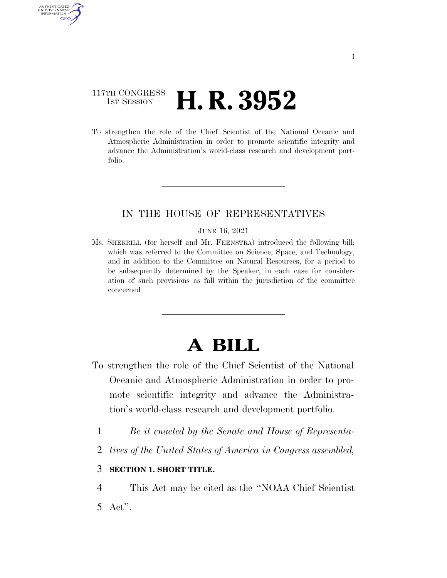## 117TH CONGRESS **1st Session H. R. 3952**

AUTHENTICATED U.S. GOVERNMENT GPO

> To strengthen the role of the Chief Scientist of the National Oceanic and Atmospheric Administration in order to promote scientific integrity and advance the Administration's world-class research and development portfolio.

## IN THE HOUSE OF REPRESENTATIVES

#### JUNE 16, 2021

Ms. SHERRILL (for herself and Mr. FEENSTRA) introduced the following bill; which was referred to the Committee on Science, Space, and Technology, and in addition to the Committee on Natural Resources, for a period to be subsequently determined by the Speaker, in each case for consideration of such provisions as fall within the jurisdiction of the committee concerned

# **A BILL**

- To strengthen the role of the Chief Scientist of the National Oceanic and Atmospheric Administration in order to promote scientific integrity and advance the Administration's world-class research and development portfolio.
	- 1 *Be it enacted by the Senate and House of Representa-*
	- 2 *tives of the United States of America in Congress assembled,*

### 3 **SECTION 1. SHORT TITLE.**

4 This Act may be cited as the ''NOAA Chief Scientist 5 Act''.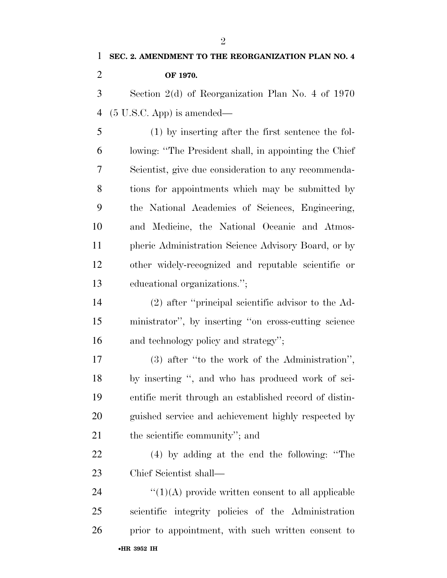**SEC. 2. AMENDMENT TO THE REORGANIZATION PLAN NO. 4 OF 1970.**  Section 2(d) of Reorganization Plan No. 4 of 1970

(5 U.S.C. App) is amended—

 (1) by inserting after the first sentence the fol- lowing: ''The President shall, in appointing the Chief Scientist, give due consideration to any recommenda- tions for appointments which may be submitted by the National Academies of Sciences, Engineering, and Medicine, the National Oceanic and Atmos- pheric Administration Science Advisory Board, or by other widely-recognized and reputable scientific or educational organizations.'';

 (2) after ''principal scientific advisor to the Ad- ministrator'', by inserting ''on cross-cutting science and technology policy and strategy'';

 (3) after ''to the work of the Administration'', by inserting '', and who has produced work of sci- entific merit through an established record of distin- guished service and achievement highly respected by the scientific community''; and

 (4) by adding at the end the following: ''The Chief Scientist shall—

•**HR 3952 IH**  $\frac{1}{(1)(A)}$  provide written consent to all applicable scientific integrity policies of the Administration prior to appointment, with such written consent to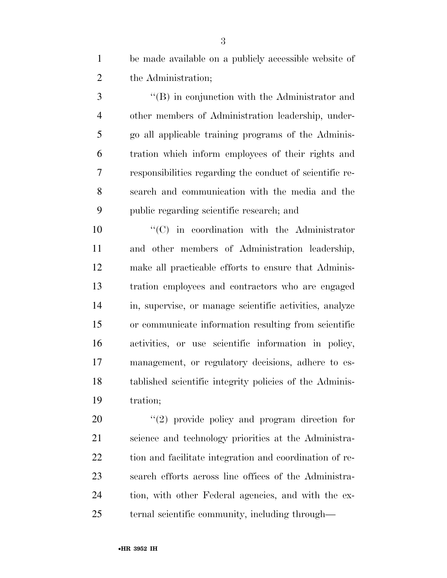| be made available on a publicly accessible website of |
|-------------------------------------------------------|
| the Administration;                                   |

 ''(B) in conjunction with the Administrator and other members of Administration leadership, under- go all applicable training programs of the Adminis- tration which inform employees of their rights and responsibilities regarding the conduct of scientific re- search and communication with the media and the public regarding scientific research; and

 $\langle ^{i}(C)$  in coordination with the Administrator and other members of Administration leadership, make all practicable efforts to ensure that Adminis- tration employees and contractors who are engaged in, supervise, or manage scientific activities, analyze or communicate information resulting from scientific activities, or use scientific information in policy, management, or regulatory decisions, adhere to es- tablished scientific integrity policies of the Adminis-tration;

 $(2)$  provide policy and program direction for science and technology priorities at the Administra- tion and facilitate integration and coordination of re- search efforts across line offices of the Administra- tion, with other Federal agencies, and with the ex-ternal scientific community, including through—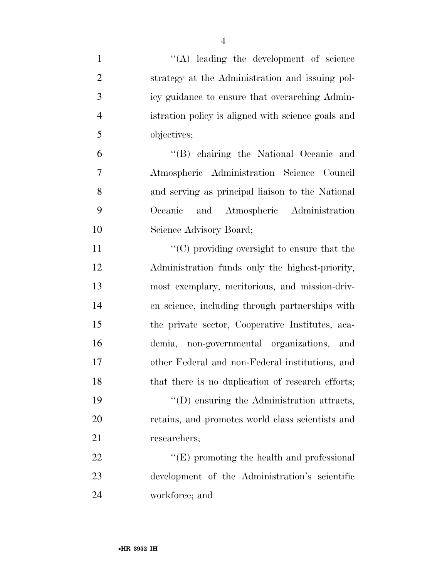| $\mathbf{1}$   | $\lq\lq$ . leading the development of science      |
|----------------|----------------------------------------------------|
| $\overline{2}$ | strategy at the Administration and issuing pol-    |
| 3              | icy guidance to ensure that overarching Admin-     |
| $\overline{4}$ | istration policy is aligned with science goals and |
| 5              | objectives;                                        |
| 6              | "(B) chairing the National Oceanic and             |
| 7              | Atmospheric Administration Science Council         |
| 8              | and serving as principal liaison to the National   |
| 9              | Oceanic and Atmospheric Administration             |
| 10             | Science Advisory Board;                            |
| 11             | $\cdot$ (C) providing oversight to ensure that the |
| 12             | Administration funds only the highest-priority,    |
| 13             | most exemplary, meritorious, and mission-driv-     |
| 14             | en science, including through partnerships with    |
| 15             | the private sector, Cooperative Institutes, aca-   |
| 16             | demia, non-governmental organizations, and         |
| 17             | other Federal and non-Federal institutions, and    |
| 18             | that there is no duplication of research efforts;  |
| 19             | $\lq\lq$ ensuring the Administration attracts,     |
| 20             | retains, and promotes world class scientists and   |
| 21             | researchers;                                       |
| 22             | $\lq\lq(E)$ promoting the health and professional  |
| 23             | development of the Administration's scientific     |
| 24             | workforce; and                                     |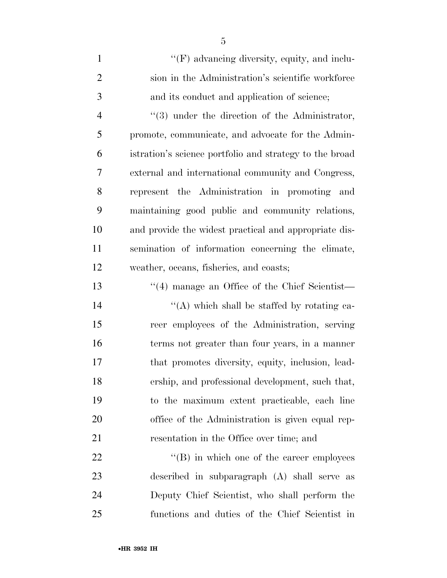| $\mathbf{1}$   | "(F) advancing diversity, equity, and inclu-            |
|----------------|---------------------------------------------------------|
| $\overline{2}$ | sion in the Administration's scientific workforce       |
| 3              | and its conduct and application of science;             |
| $\overline{4}$ | $\lq(3)$ under the direction of the Administrator,      |
| 5              | promote, communicate, and advocate for the Admin-       |
| 6              | istration's science portfolio and strategy to the broad |
| 7              | external and international community and Congress,      |
| 8              | represent the Administration in promoting and           |
| 9              | maintaining good public and community relations,        |
| 10             | and provide the widest practical and appropriate dis-   |
| 11             | semination of information concerning the climate,       |
| 12             | weather, oceans, fisheries, and coasts;                 |
| 13             | "(4) manage an Office of the Chief Scientist-           |
| 14             | "(A) which shall be staffed by rotating ca-             |
| 15             | reer employees of the Administration, serving           |
| 16             | terms not greater than four years, in a manner          |
| 17             | that promotes diversity, equity, inclusion, lead-       |
| 18             | ership, and professional development, such that,        |
| 19             | to the maximum extent practicable, each line            |
| 20             | office of the Administration is given equal rep-        |
| 21             | resentation in the Office over time; and                |
| 22             | $\lq\lq (B)$ in which one of the career employees       |
| 23             | described in subparagraph (A) shall serve as            |
| 24             | Deputy Chief Scientist, who shall perform the           |

functions and duties of the Chief Scientist in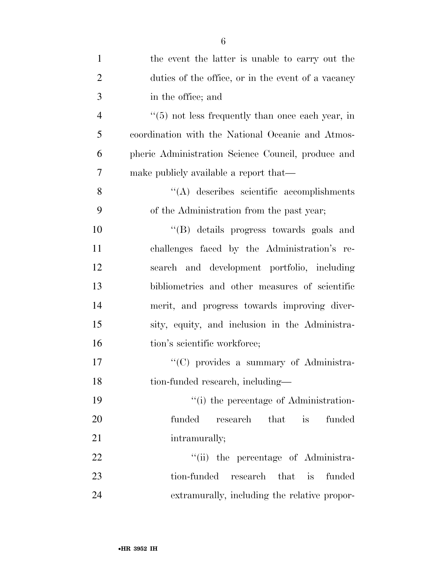| $\mathbf{1}$   | the event the latter is unable to carry out the              |
|----------------|--------------------------------------------------------------|
| $\overline{2}$ | duties of the office, or in the event of a vacancy           |
| 3              | in the office; and                                           |
| $\overline{4}$ | $\cdot\cdot$ (5) not less frequently than once each year, in |
| 5              | coordination with the National Oceanic and Atmos-            |
| 6              | pheric Administration Science Council, produce and           |
| $\overline{7}$ | make publicly available a report that—                       |
| 8              | $\lq\lq$ describes scientific accomplishments                |
| 9              | of the Administration from the past year;                    |
| 10             | "(B) details progress towards goals and                      |
| 11             | challenges faced by the Administration's re-                 |
| 12             | search and development portfolio, including                  |
| 13             | bibliometrics and other measures of scientific               |
| 14             | merit, and progress towards improving diver-                 |
| 15             | sity, equity, and inclusion in the Administra-               |
| 16             | tion's scientific workforce;                                 |
| 17             | "(C) provides a summary of Administra-                       |
| 18             | tion-funded research, including-                             |
| 19             | "(i) the percentage of Administration-                       |
| 20             | funded<br>that<br>funded<br>research<br>is                   |
| 21             | intramurally;                                                |
| 22             | "(ii) the percentage of Administra-                          |
| 23             | tion-funded<br>that is<br>research<br>funded                 |
| 24             | extramurally, including the relative propor-                 |

6